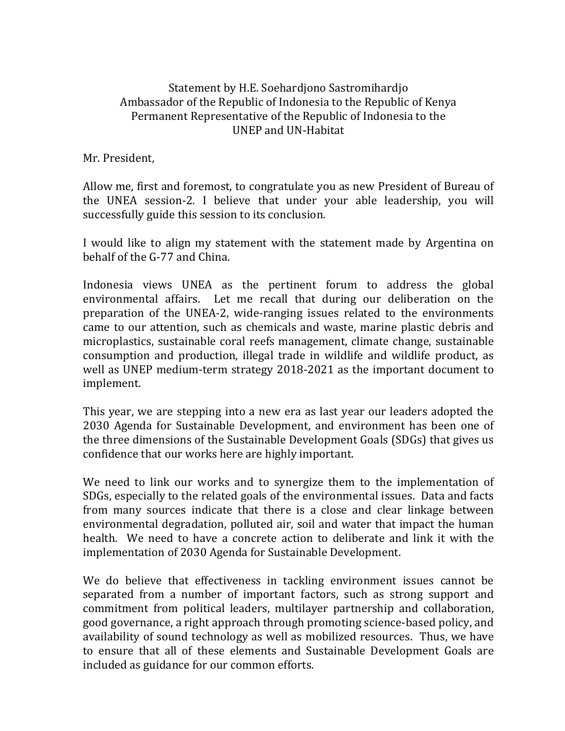## Statement by H.E. Soehardjono Sastromihardjo Ambassador of the Republic of Indonesia to the Republic of Kenya Permanent Representative of the Republic of Indonesia to the UNEP and UN-Habitat

Mr. President,

Allow me, first and foremost, to congratulate you as new President of Bureau of the UNEA session-2. I believe that under your able leadership, you will successfully guide this session to its conclusion.

I would like to align my statement with the statement made by Argentina on behalf of the G-77 and China.

Indonesia views UNEA as the pertinent forum to address the global environmental affairs. Let me recall that during our deliberation on the preparation of the UNEA-2, wide-ranging issues related to the environments came to our attention, such as chemicals and waste, marine plastic debris and microplastics, sustainable coral reefs management, climate change, sustainable consumption and production, illegal trade in wildlife and wildlife product, as well as UNEP medium-term strategy 2018-2021 as the important document to implement.

This year, we are stepping into a new era as last year our leaders adopted the 2030 Agenda for Sustainable Development, and environment has been one of the three dimensions of the Sustainable Development Goals (SDGs) that gives us confidence that our works here are highly important.

We need to link our works and to synergize them to the implementation of SDGs, especially to the related goals of the environmental issues. Data and facts from many sources indicate that there is a close and clear linkage between environmental degradation, polluted air, soil and water that impact the human health. We need to have a concrete action to deliberate and link it with the implementation of 2030 Agenda for Sustainable Development.

We do believe that effectiveness in tackling environment issues cannot be separated from a number of important factors, such as strong support and commitment from political leaders, multilayer partnership and collaboration, good governance, a right approach through promoting science-based policy, and availability of sound technology as well as mobilized resources. Thus, we have to ensure that all of these elements and Sustainable Development Goals are included as guidance for our common efforts.